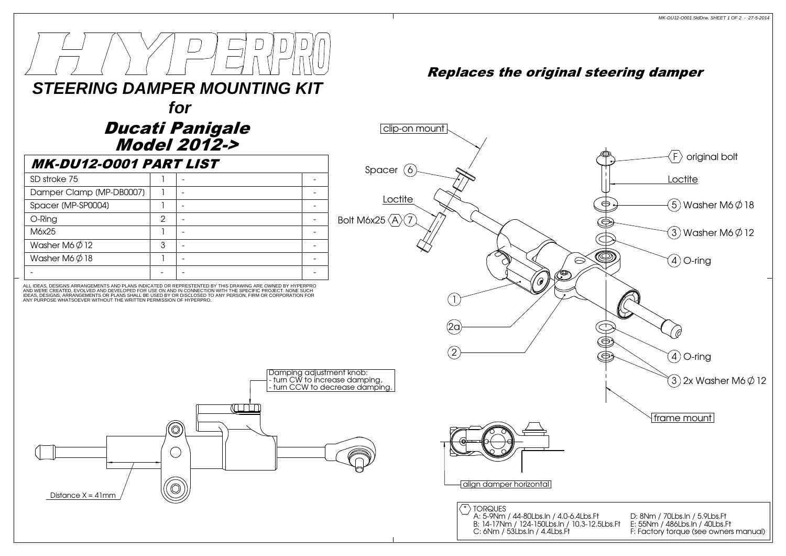

### Model 2012-> Ducati Panigale

| <b>MK-DU12-0001 PART LIST</b> |   | for<br><b>Ducati Panigale</b><br><b>Model 2012-&gt;</b> |  |
|-------------------------------|---|---------------------------------------------------------|--|
| SD stroke 75                  |   |                                                         |  |
| Damper Clamp (MP-DB0007)      |   |                                                         |  |
| Spacer (MP-SP0004)            |   |                                                         |  |
| O-Ring                        | 2 |                                                         |  |
| M6x25                         |   |                                                         |  |
| Washer M6 $\phi$ 12           | 3 |                                                         |  |
| Washer M6 $\varnothing$ 18    |   |                                                         |  |
|                               |   |                                                         |  |

ANY PURPOSE WHATSOEVER WITHOUT THE WRITTEN PERMISSION OF HYPERPRO.AND WERE CREATED, EVOLVED AND DEVELOPED FOR USE ON AND IN CONNECTION WITH THE SPECIFIC PROJECT. NONE SUCH<br>IDEAS, DESIGNS, ARRANGEMENTS OR PLANS SHALL BE USED BY OR DISCLOSED TO ANY PERSON, FIRM OR CORPORATION FOR ALL IDEAS, DESIGNS ARRANGEMENTS AND PLANS INDICATED OR REPRESTENTED BY THIS DRAWING ARE OWNED BY HYPERPRO